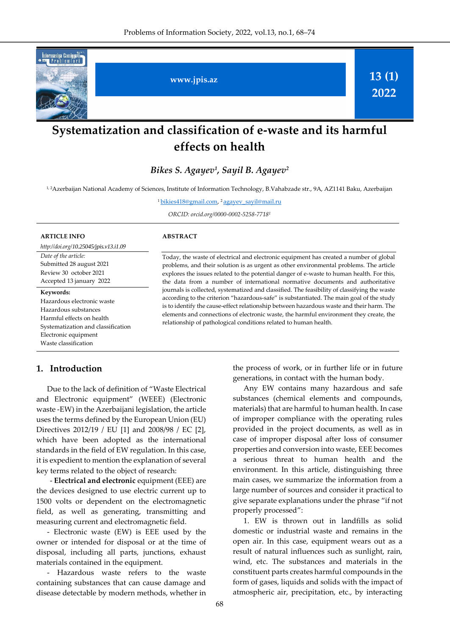

# **Systematization and classification of e-waste and its harmful effects on health**

*Bikes S. Agayev<sup>1</sup> , Sayil B. Agayev<sup>2</sup>*

1, 2Azerbaijan National Academy of Sciences, Institute of Information Technology, B.Vahabzade str., 9A, AZ1141 Baku, Azerbaijan

1<u>bikies418@gmail.com</u>, <sup>2</sup>[agayev\\_sayil@mail.ru](file:///C:/Users/user/Downloads/agayev_sayil@mail.ru)

*ORCID: orcid.org/0000-0002-5258-7718<sup>1</sup>*

#### **ARTICLE INFO**

*http://doi.org/[10.25045/jpis.v13.i1.0](http://doi.org/10.25045/jpis.v13.i1.09)9 Date of the article:* Submitted 28 august 2021 Review 30 october 2021

Accepted 13 january 2022 **Keywords:** 

Hazardous electronic waste Hazardous substances Harmful effects on health Systematization and classification Electronic equipment Waste classification

### **1. Introduction**

Due to the lack of definition of "Waste Electrical and Electronic equipment" (WEEE) (Electronic waste -EW) in the Azerbaijani legislation, the article uses the terms defined by the European Union (EU) Directives 2012/19 / EU [1] and 2008/98 / EC [2], which have been adopted as the international standards in the field of EW regulation. In this case, it is expedient to mention the explanation of several key terms related to the object of research:

- **Electrical and electronic** equipment (EEE) are the devices designed to use electric current up to 1500 volts or dependent on the electromagnetic field, as well as generating, transmitting and measuring current and electromagnetic field.

- Electronic waste (EW) is EEE used by the owner or intended for disposal or at the time of disposal, including all parts, junctions, exhaust materials contained in the equipment.

- Hazardous waste refers to the waste containing substances that can cause damage and disease detectable by modern methods, whether in

### **ABSTRACT**

Today, the waste of electrical and electronic equipment has created a number of global problems, and their solution is as urgent as other environmental problems. The article explores the issues related to the potential danger of e-waste to human health. For this, the data from a number of international normative documents and authoritative journals is collected, systematized and classified. The feasibility of classifying the waste according to the criterion "hazardous-safe" is substantiated. The main goal of the study is to identify the cause-effect relationship between hazardous waste and their harm. The elements and connections of electronic waste, the harmful environment they create, the relationship of pathological conditions related to human health.

> the process of work, or in further life or in future generations, in contact with the human body.

> Any EW contains many hazardous and safe substances (chemical elements and compounds, materials) that are harmful to human health. In case of improper compliance with the operating rules provided in the project documents, as well as in case of improper disposal after loss of consumer properties and conversion into waste, EEE becomes a serious threat to human health and the environment. In this article, distinguishing three main cases, we summarize the information from a large number of sources and consider it practical to give separate explanations under the phrase "if not properly processed":

> 1. EW is thrown out in landfills as solid domestic or industrial waste and remains in the open air. In this case, equipment wears out as a result of natural influences such as sunlight, rain, wind, etc. The substances and materials in the constituent parts creates harmful compounds in the form of gases, liquids and solids with the impact of atmospheric air, precipitation, etc., by interacting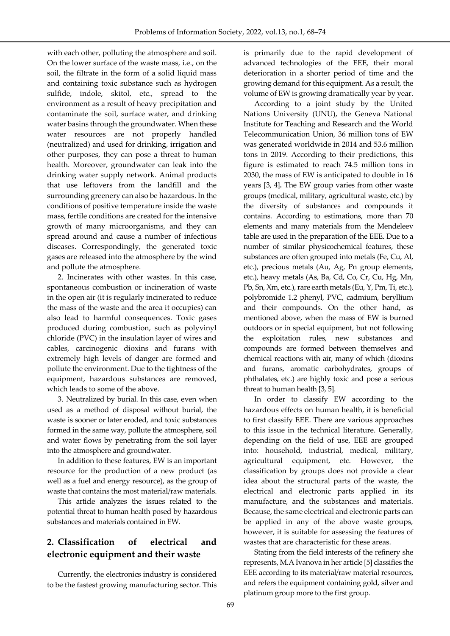with each other, polluting the atmosphere and soil. On the lower surface of the waste mass, i.e., on the soil, the filtrate in the form of a solid liquid mass and containing toxic substance such as hydrogen sulfide, indole, skitol, etc., spread to the environment as a result of heavy precipitation and contaminate the soil, surface water, and drinking water basins through the groundwater. When these water resources are not properly handled (neutralized) and used for drinking, irrigation and other purposes, they can pose a threat to human health. Moreover, groundwater can leak into the drinking water supply network. Animal products that use leftovers from the landfill and the surrounding greenery can also be hazardous. In the conditions of positive temperature inside the waste mass, fertile conditions are created for the intensive growth of many microorganisms, and they can spread around and cause a number of infectious diseases. Correspondingly, the generated toxic gases are released into the atmosphere by the wind and pollute the atmosphere.

l,

2. Incinerates with other wastes. In this case, spontaneous combustion or incineration of waste in the open air (it is regularly incinerated to reduce the mass of the waste and the area it occupies) can also lead to harmful consequences. Toxic gases produced during combustion, such as polyvinyl chloride (PVC) in the insulation layer of wires and cables, carcinogenic dioxins and furans with extremely high levels of danger are formed and pollute the environment. Due to the tightness of the equipment, hazardous substances are removed, which leads to some of the above.

3. Neutralized by burial. In this case, even when used as a method of disposal without burial, the waste is sooner or later eroded, and toxic substances formed in the same way, pollute the atmosphere, soil and water flows by penetrating from the soil layer into the atmosphere and groundwater.

In addition to these features, EW is an important resource for the production of a new product (as well as a fuel and energy resource), as the group of waste that contains the most material/raw materials.

This article analyzes the issues related to the potential threat to human health posed by hazardous substances and materials contained in EW.

## **2. Classification of electrical and electronic equipment and their waste**

Currently, the electronics industry is considered to be the fastest growing manufacturing sector. This is primarily due to the rapid development of advanced technologies of the EEE, their moral deterioration in a shorter period of time and the growing demand for this equipment. As a result, the volume of EW is growing dramatically year by year.

According to a joint study by the United Nations University (UNU), the Geneva National Institute for Teaching and Research and the World Telecommunication Union, 36 million tons of EW was generated worldwide in 2014 and 53.6 million tons in 2019. According to their predictions, this figure is estimated to reach 74.5 million tons in 2030, the mass of EW is anticipated to double in 16 years [3, 4]**.** The EW group varies from other waste groups (medical, military, agricultural waste, etc.) by the diversity of substances and compounds it contains. According to estimations, more than 70 elements and many materials from the Mendeleev table are used in the preparation of the EEE. Due to a number of similar physicochemical features, these substances are often grouped into metals (Fe, Cu, Al, etc.), precious metals (Au, Ag, Pn group elements, etc.), heavy metals (As, Ba, Cd, Co, Cr, Cu, Hg, Mn, Pb, Sn, Xm, etc.), rare earth metals (Eu, Y, Pm, Ti, etc.), polybromide 1.2 phenyl, PVC, cadmium, beryllium and their compounds. On the other hand, as mentioned above, when the mass of EW is burned outdoors or in special equipment, but not following the exploitation rules, new substances and compounds are formed between themselves and chemical reactions with air, many of which (dioxins and furans, aromatic carbohydrates, groups of phthalates, etc.) are highly toxic and pose a serious threat to human health [3, 5].

In order to classify EW according to the hazardous effects on human health, it is beneficial to first classify EEE. There are various approaches to this issue in the technical literature. Generally, depending on the field of use, EEE are grouped into: household, industrial, medical, military, agricultural equipment, etc. However, the classification by groups does not provide a clear idea about the structural parts of the waste, the electrical and electronic parts applied in its manufacture, and the substances and materials. Because, the same electrical and electronic parts can be applied in any of the above waste groups, however, it is suitable for assessing the features of wastes that are characteristic for these areas.

Stating from the field interests of the refinery she represents, M.A Ivanova in her article [5] classifies the EEE according to its material/raw material resources, and refers the equipment containing gold, silver and platinum group more to the first group.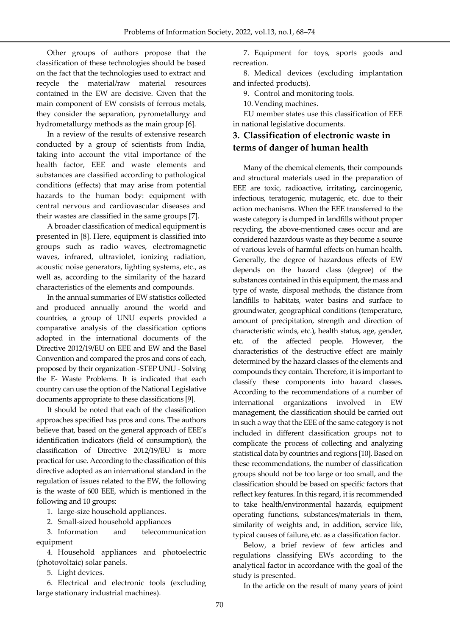Other groups of authors propose that the classification of these technologies should be based on the fact that the technologies used to extract and recycle the material/raw material resources contained in the EW are decisive. Given that the main component of EW consists of ferrous metals, they consider the separation, pyrometallurgy and hydrometallurgy methods as the main group [6].

l,

In a review of the results of extensive research conducted by a group of scientists from India, taking into account the vital importance of the health factor, EEE and waste elements and substances are classified according to pathological conditions (effects) that may arise from potential hazards to the human body: equipment with central nervous and cardiovascular diseases and their wastes are classified in the same groups [7].

A broader classification of medical equipment is presented in [8]. Here, equipment is classified into groups such as radio waves, electromagnetic waves, infrared, ultraviolet, ionizing radiation, acoustic noise generators, lighting systems, etc., as well as, according to the similarity of the hazard characteristics of the elements and compounds.

In the annual summaries of EW statistics collected and produced annually around the world and countries, a group of UNU experts provided a comparative analysis of the classification options adopted in the international documents of the Directive 2012/19/EU on EEE and EW and the Basel Convention and compared the pros and cons of each, proposed by their organization -STEP UNU - Solving the E- Waste Problems. It is indicated that each country can use the option of the National Legislative documents appropriate to these classifications [9].

It should be noted that each of the classification approaches specified has pros and cons. The authors believe that, based on the general approach of EEE's identification indicators (field of consumption), the classification of Directive 2012/19/EU is more practical for use. According to the classification of this directive adopted as an international standard in the regulation of issues related to the EW, the following is the waste of 600 EEE, which is mentioned in the following and 10 groups:

1. large-size household appliances.

2. Small-sized household appliances

3. Information and telecommunication equipment

4. Household appliances and photoelectric (photovoltaic) solar panels.

5. Light devices.

6. Electrical and electronic tools (excluding large stationary industrial machines).

7. Equipment for toys, sports goods and recreation.

8. Medical devices (excluding implantation and infected products).

9. Control and monitoring tools.

10. Vending machines.

EU member states use this classification of EEE in national legislative documents.

### **3. Classification of electronic waste in terms of danger of human health**

Many of the chemical elements, their compounds and structural materials used in the preparation of EEE are toxic, radioactive, irritating, carcinogenic, infectious, teratogenic, mutagenic, etc. due to their action mechanisms. When the EEE transferred to the waste category is dumped in landfills without proper recycling, the above-mentioned cases occur and are considered hazardous waste as they become a source of various levels of harmful effects on human health. Generally, the degree of hazardous effects of EW depends on the hazard class (degree) of the substances contained in this equipment, the mass and type of waste, disposal methods, the distance from landfills to habitats, water basins and surface to groundwater, geographical conditions (temperature, amount of precipitation, strength and direction of characteristic winds, etc.), health status, age, gender, etc. of the affected people. However, the characteristics of the destructive effect are mainly determined by the hazard classes of the elements and compounds they contain. Therefore, it is important to classify these components into hazard classes. According to the recommendations of a number of international organizations involved in EW management, the classification should be carried out in such a way that the EEE of the same category is not included in different classification groups not to complicate the process of collecting and analyzing statistical data by countries and regions [10]. Based on these recommendations, the number of classification groups should not be too large or too small, and the classification should be based on specific factors that reflect key features. In this regard, it is recommended to take health/environmental hazards, equipment operating functions, substances/materials in them, similarity of weights and, in addition, service life, typical causes of failure, etc. as a classification factor.

Below, a brief review of few articles and regulations classifying EWs according to the analytical factor in accordance with the goal of the study is presented.

In the article on the result of many years of joint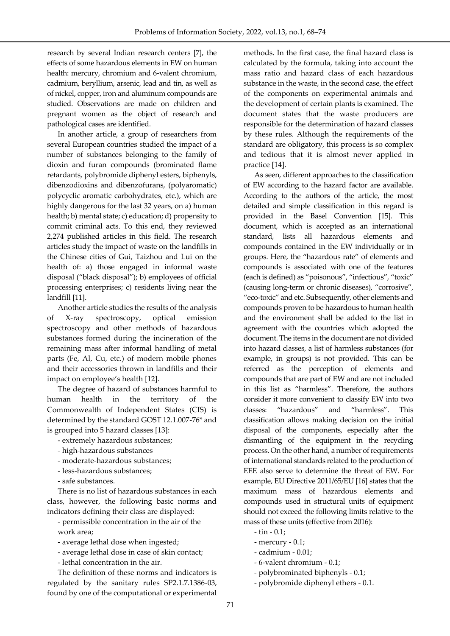research by several Indian research centers [7], the effects of some hazardous elements in EW on human health: mercury, chromium and 6-valent chromium, cadmium, beryllium, arsenic, lead and tin, as well as of nickel, copper, iron and aluminum compounds are studied. Observations are made on children and pregnant women as the object of research and pathological cases are identified.

l,

In another article, a group of researchers from several European countries studied the impact of a number of substances belonging to the family of dioxin and furan compounds (brominated flame retardants, polybromide diphenyl esters, biphenyls, dibenzodioxins and dibenzofurans, (polyaromatic) polycyclic aromatic carbohydrates, etc.), which are highly dangerous for the last 32 years, on a) human health; b) mental state; c) education; d) propensity to commit criminal acts. To this end, they reviewed 2,274 published articles in this field. The research articles study the impact of waste on the landfills in the Chinese cities of Gui, Taizhou and Lui on the health of: a) those engaged in informal waste disposal ("black disposal"); b) employees of official processing enterprises; c) residents living near the landfill [11].

Another article studies the results of the analysis of X-ray spectroscopy, optical emission spectroscopy and other methods of hazardous substances formed during the incineration of the remaining mass after informal handling of metal parts (Fe, Al, Cu, etc.) of modern mobile phones and their accessories thrown in landfills and their impact on employee's health [12].

The degree of hazard of substances harmful to human health in the territory of the Commonwealth of Independent States (CIS) is determined by the standard GOST 12.1.007-76\* and is grouped into 5 hazard classes [13]:

- extremely hazardous substances;

- high-hazardous substances
- moderate-hazardous substances;
- less-hazardous substances;
- safe substances.

There is no list of hazardous substances in each class, however, the following basic norms and indicators defining their class are displayed:

- permissible concentration in the air of the work area;

- average lethal dose when ingested;

- average lethal dose in case of skin contact;

- lethal concentration in the air.

The definition of these norms and indicators is regulated by the sanitary rules SP2.1.7.1386-03, found by one of the computational or experimental methods. In the first case, the final hazard class is calculated by the formula, taking into account the mass ratio and hazard class of each hazardous substance in the waste, in the second case, the effect of the components on experimental animals and the development of certain plants is examined. The document states that the waste producers are responsible for the determination of hazard classes by these rules. Although the requirements of the standard are obligatory, this process is so complex and tedious that it is almost never applied in practice [14].

As seen, different approaches to the classification of EW according to the hazard factor are available. According to the authors of the article, the most detailed and simple classification in this regard is provided in the Basel Convention [15]. This document, which is accepted as an international standard, lists all hazardous elements and compounds contained in the EW individually or in groups. Here, the "hazardous rate" of elements and compounds is associated with one of the features (each is defined) as "poisonous", "infectious", "toxic" (causing long-term or chronic diseases), "corrosive", "eco-toxic" and etc. Subsequently, other elements and compounds proven to be hazardous to human health and the environment shall be added to the list in agreement with the countries which adopted the document. The items in the document are not divided into hazard classes, a list of harmless substances (for example, in groups) is not provided. This can be referred as the perception of elements and compounds that are part of EW and are not included in this list as "harmless". Therefore, the authors consider it more convenient to classify EW into two classes: "hazardous" and "harmless". This classification allows making decision on the initial disposal of the components, especially after the dismantling of the equipment in the recycling process. On the other hand, a number of requirements of international standards related to the production of EEE also serve to determine the threat of EW. For example, EU Directive 2011/65/EU [16] states that the maximum mass of hazardous elements and compounds used in structural units of equipment should not exceed the following limits relative to the mass of these units (effective from 2016):

- tin 0.1;
- mercury 0.1;
- cadmium 0.01;
- 6-valent chromium 0.1;
- polybrominated biphenyls 0.1;
- polybromide diphenyl ethers 0.1.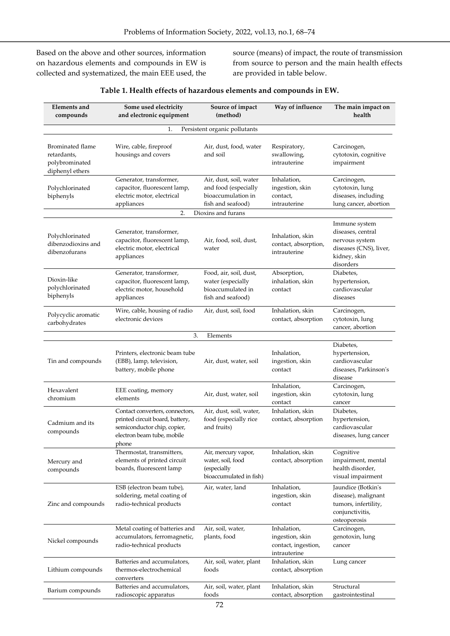Based on the above and other sources, information on hazardous elements and compounds in EW is collected and systematized, the main EEE used, the

l,

source (means) of impact, the route of transmission from source to person and the main health effects are provided in table below.

| <b>Elements</b> and<br>compounds                                     | Some used electricity<br>and electronic equipment                                                                                        | Source of impact<br>(method)                                                              | Way of influence                                                      | The main impact on<br>health                                                                                |  |  |  |
|----------------------------------------------------------------------|------------------------------------------------------------------------------------------------------------------------------------------|-------------------------------------------------------------------------------------------|-----------------------------------------------------------------------|-------------------------------------------------------------------------------------------------------------|--|--|--|
| Persistent organic pollutants<br>1.                                  |                                                                                                                                          |                                                                                           |                                                                       |                                                                                                             |  |  |  |
| Brominated flame<br>retardants,<br>polybrominated<br>diphenyl ethers | Wire, cable, fireproof<br>housings and covers                                                                                            | Air, dust, food, water<br>and soil                                                        | Respiratory,<br>swallowing,<br>intrauterine                           | Carcinogen,<br>cytotoxin, cognitive<br>impairment                                                           |  |  |  |
| Polychlorinated<br>biphenyls                                         | Generator, transformer,<br>capacitor, fluorescent lamp,<br>electric motor, electrical<br>appliances                                      | Air, dust, soil, water<br>and food (especially<br>bioaccumulation in<br>fish and seafood) | Inhalation,<br>ingestion, skin<br>contact,<br>intrauterine            | Carcinogen,<br>cytotoxin, lung<br>diseases, including<br>lung cancer, abortion                              |  |  |  |
| 2.<br>Dioxins and furans                                             |                                                                                                                                          |                                                                                           |                                                                       |                                                                                                             |  |  |  |
| Polychlorinated<br>dibenzodioxins and<br>dibenzofurans               | Generator, transformer,<br>capacitor, fluorescent lamp,<br>electric motor, electrical<br>appliances                                      | Air, food, soil, dust,<br>water                                                           | Inhalation, skin<br>contact, absorption,<br>intrauterine              | Immune system<br>diseases, central<br>nervous system<br>diseases (CNS), liver,<br>kidney, skin<br>disorders |  |  |  |
| Dioxin-like<br>polychlorinated<br>biphenyls                          | Generator, transformer,<br>capacitor, fluorescent lamp,<br>electric motor, household<br>appliances                                       | Food, air, soil, dust,<br>water (especially<br>bioaccumulated in<br>fish and seafood)     | Absorption,<br>inhalation, skin<br>contact                            | Diabetes,<br>hypertension,<br>cardiovascular<br>diseases                                                    |  |  |  |
| Polycyclic aromatic<br>carbohydrates                                 | Wire, cable, housing of radio<br>electronic devices                                                                                      | Air, dust, soil, food                                                                     | Inhalation, skin<br>contact, absorption                               | Carcinogen,<br>cytotoxin, lung<br>cancer, abortion                                                          |  |  |  |
|                                                                      | 3.                                                                                                                                       | Elements                                                                                  |                                                                       |                                                                                                             |  |  |  |
| Tin and compounds                                                    | Printers, electronic beam tube<br>(EBB), lamp, television,<br>battery, mobile phone                                                      | Air, dust, water, soil                                                                    | Inhalation,<br>ingestion, skin<br>contact                             | Diabetes,<br>hypertension,<br>cardiovascular<br>diseases, Parkinson's<br>disease                            |  |  |  |
| Hexavalent<br>chromium                                               | EEE coating, memory<br>elements                                                                                                          | Air, dust, water, soil                                                                    | Inhalation,<br>ingestion, skin<br>contact                             | Carcinogen,<br>cytotoxin, lung<br>cancer                                                                    |  |  |  |
| Cadmium and its<br>compounds                                         | Contact converters, connectors,<br>printed circuit board, battery,<br>semiconductor chip, copier,<br>electron beam tube, mobile<br>phone | Air, dust, soil, water,<br>food (especially rice<br>and fruits)                           | Inhalation, skin<br>contact, absorption                               | Diabetes,<br>hypertension,<br>cardiovascular<br>diseases, lung cancer                                       |  |  |  |
| Mercury and<br>compounds                                             | Thermostat, transmitters,<br>elements of printed circuit<br>boards, fluorescent lamp                                                     | Air, mercury vapor,<br>water, soil, food<br>(especially<br>bioaccumulated in fish)        | Inhalation, skin<br>contact, absorption                               | Cognitive<br>impairment, mental<br>health disorder,<br>visual impairment                                    |  |  |  |
| Zinc and compounds                                                   | ESB (electron beam tube),<br>soldering, metal coating of<br>radio-technical products                                                     | Air, water, land                                                                          | Inhalation,<br>ingestion, skin<br>contact                             | Jaundice (Botkin's<br>disease), malignant<br>tumors, infertility,<br>conjunctivitis,<br>osteoporosis        |  |  |  |
| Nickel compounds                                                     | Metal coating of batteries and<br>accumulators, ferromagnetic,<br>radio-technical products                                               | Air, soil, water,<br>plants, food                                                         | Inhalation,<br>ingestion, skin<br>contact, ingestion,<br>intrauterine | Carcinogen,<br>genotoxin, lung<br>cancer                                                                    |  |  |  |
| Lithium compounds                                                    | Batteries and accumulators,<br>thermos-electrochemical<br>converters                                                                     | Air, soil, water, plant<br>foods                                                          | Inhalation, skin<br>contact, absorption                               | Lung cancer                                                                                                 |  |  |  |
| Barium compounds                                                     | Batteries and accumulators,<br>radioscopic apparatus                                                                                     | Air, soil, water, plant<br>foods                                                          | Inhalation, skin<br>contact, absorption                               | Structural<br>gastrointestinal                                                                              |  |  |  |

### **Table 1. Health effects of hazardous elements and compounds in EW.**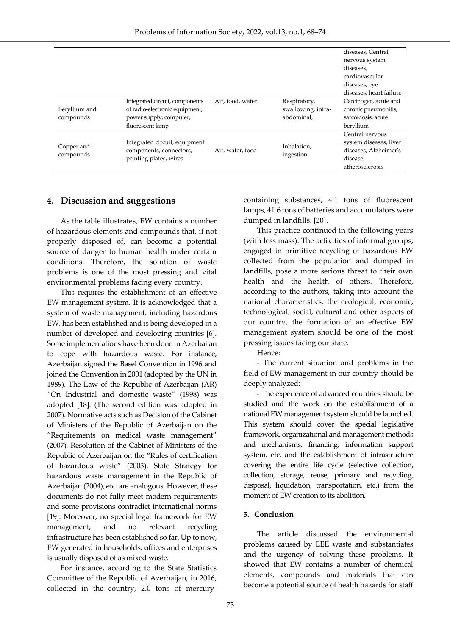|                            |                                                                                                                 |                  |                                                  | diseases, Central<br>nervous system<br>diseases.<br>cardiovascular<br>diseases, eye<br>diseases, heart failure |
|----------------------------|-----------------------------------------------------------------------------------------------------------------|------------------|--------------------------------------------------|----------------------------------------------------------------------------------------------------------------|
| Beryllium and<br>compounds | Integrated circuit, components<br>of radio-electronic equipment,<br>power supply, computer,<br>fluorescent lamp | Air, food, water | Respiratory,<br>swallowing, intra-<br>abdominal. | Carcinogen, acute and<br>chronic pneumonitis,<br>sarcoidosis, acute<br>beryllium                               |
| Copper and<br>compounds    | Integrated circuit, equipment<br>components, connectors,<br>printing plates, wires                              | Air, water, food | Inhalation,<br>ingestion                         | Central nervous<br>system diseases, liver<br>diseases, Alzheimer's<br>disease,<br>atherosclerosis              |

### **4. Discussion and suggestions**

l,

As the table illustrates, EW contains a number of hazardous elements and compounds that, if not properly disposed of, can become a potential source of danger to human health under certain conditions. Therefore, the solution of waste problems is one of the most pressing and vital environmental problems facing every country.

This requires the establishment of an effective EW management system. It is acknowledged that a system of waste management, including hazardous EW, has been established and is being developed in a number of developed and developing countries [6]. Some implementations have been done in Azerbaijan to cope with hazardous waste. For instance, Azerbaijan signed the Basel Convention in 1996 and joined the Convention in 2001 (adopted by the UN in 1989). The Law of the Republic of Azerbaijan (AR) "On Industrial and domestic waste" (1998) was adopted [18]. (The second edition was adopted in 2007). Normative acts such as Decision of the Cabinet of Ministers of the Republic of Azerbaijan on the "Requirements on medical waste management" (2007), Resolution of the Cabinet of Ministers of the Republic of Azerbaijan on the "Rules of certification of hazardous waste" (2003), State Strategy for hazardous waste management in the Republic of Azerbaijan (2004), etc. are analogous. However, these documents do not fully meet modern requirements and some provisions contradict international norms [19]. Moreover, no special legal framework for EW management, and no relevant recycling infrastructure has been established so far. Up to now, EW generated in households, offices and enterprises is usually disposed of as mixed waste.

For instance, according to the State Statistics Committee of the Republic of Azerbaijan, in 2016, collected in the country, 2.0 tons of mercurycontaining substances, 4.1 tons of fluorescent lamps, 41.6 tons of batteries and accumulators were dumped in landfills. [20].

This practice continued in the following years (with less mass). The activities of informal groups, engaged in primitive recycling of hazardous EW collected from the population and dumped in landfills, pose a more serious threat to their own health and the health of others. Therefore, according to the authors, taking into account the national characteristics, the ecological, economic, technological, social, cultural and other aspects of our country, the formation of an effective EW management system should be one of the most pressing issues facing our state.

Hence:

- The current situation and problems in the field of EW management in our country should be deeply analyzed;

- The experience of advanced countries should be studied and the work on the establishment of a national EW management system should be launched. This system should cover the special legislative framework, organizational and management methods and mechanisms, financing, information support system, etc. and the establishment of infrastructure covering the entire life cycle (selective collection, collection, storage, reuse, primary and recycling, disposal, liquidation, transportation, etc.) from the moment of EW creation to its abolition.

#### **5. Conclusion**

The article discussed the environmental problems caused by EEE waste and substantiates and the urgency of solving these problems. It showed that EW contains a number of chemical elements, compounds and materials that can become a potential source of health hazards for staff